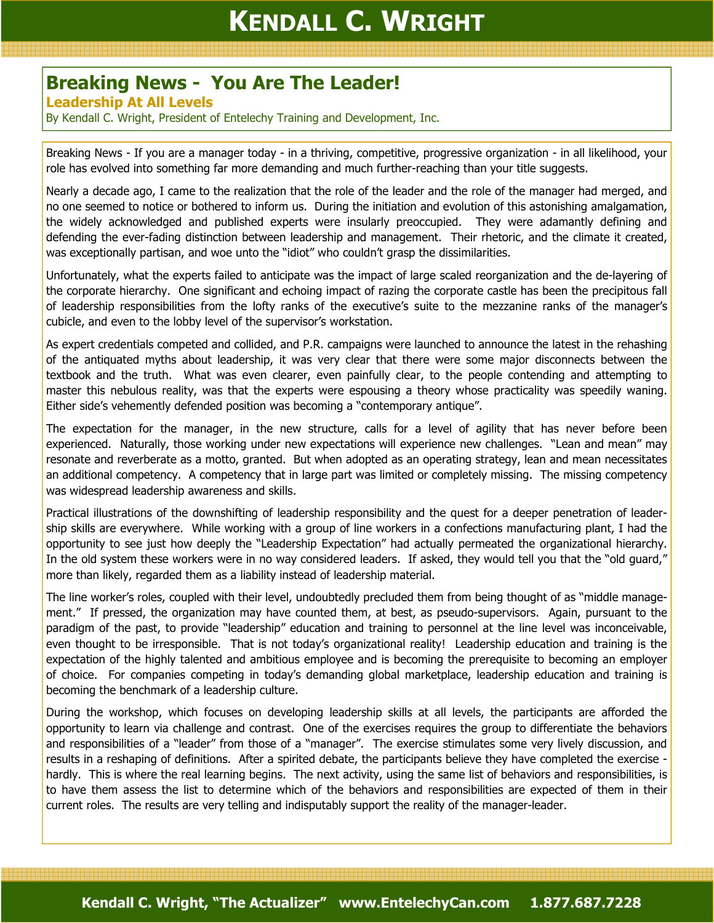## Breaking News - You Are The Leader!

## Leadership At All Levels

By Kendall C. Wright, President of Entelechy Training and Development, Inc.

Breaking News - If you are a manager today - in a thriving, competitive, progressive organization - in all likelihood, your role has evolved into something far more demanding and much further-reaching than your title suggests.

Nearly a decade ago, I came to the realization that the role of the leader and the role of the manager had merged, and no one seemed to notice or bothered to inform us. During the initiation and evolution of this astonishing amalgamation, the widely acknowledged and published experts were insularly preoccupied. They were adamantly defining and defending the ever-fading distinction between leadership and management. Their rhetoric, and the climate it created, was exceptionally partisan, and woe unto the "idiot" who couldn't grasp the dissimilarities.

Unfortunately, what the experts failed to anticipate was the impact of large scaled reorganization and the de-layering of the corporate hierarchy. One significant and echoing impact of razing the corporate castle has been the precipitous fall of leadership responsibilities from the lofty ranks of the executive's suite to the mezzanine ranks of the manager's cubicle, and even to the lobby level of the supervisor's workstation.

As expert credentials competed and collided, and P.R. campaigns were launched to announce the latest in the rehashing of the antiquated myths about leadership, it was very clear that there were some major disconnects between the textbook and the truth. What was even clearer, even painfully clear, to the people contending and attempting to master this nebulous reality, was that the experts were espousing a theory whose practicality was speedily waning. Either side's vehemently defended position was becoming a "contemporary antique".

The expectation for the manager, in the new structure, calls for a level of agility that has never before been experienced. Naturally, those working under new expectations will experience new challenges. "Lean and mean" may resonate and reverberate as a motto, granted. But when adopted as an operating strategy, lean and mean necessitates an additional competency. A competency that in large part was limited or completely missing. The missing competency was widespread leadership awareness and skills.

Practical illustrations of the downshifting of leadership responsibility and the quest for a deeper penetration of leadership skills are everywhere. While working with a group of line workers in a confections manufacturing plant, I had the opportunity to see just how deeply the "Leadership Expectation" had actually permeated the organizational hierarchy. In the old system these workers were in no way considered leaders. If asked, they would tell you that the "old guard," more than likely, regarded them as a liability instead of leadership material.

The line worker's roles, coupled with their level, undoubtedly precluded them from being thought of as "middle management." If pressed, the organization may have counted them, at best, as pseudo-supervisors. Again, pursuant to the paradigm of the past, to provide "leadership" education and training to personnel at the line level was inconceivable, even thought to be irresponsible. That is not today's organizational reality! Leadership education and training is the expectation of the highly talented and ambitious employee and is becoming the prerequisite to becoming an employer of choice. For companies competing in today's demanding global marketplace, leadership education and training is becoming the benchmark of a leadership culture.

During the workshop, which focuses on developing leadership skills at all levels, the participants are afforded the opportunity to learn via challenge and contrast. One of the exercises requires the group to differentiate the behaviors and responsibilities of a "leader" from those of a "manager". The exercise stimulates some very lively discussion, and results in a reshaping of definitions. After a spirited debate, the participants believe they have completed the exercise hardly. This is where the real learning begins. The next activity, using the same list of behaviors and responsibilities, is to have them assess the list to determine which of the behaviors and responsibilities are expected of them in their current roles. The results are very telling and indisputably support the reality of the manager-leader.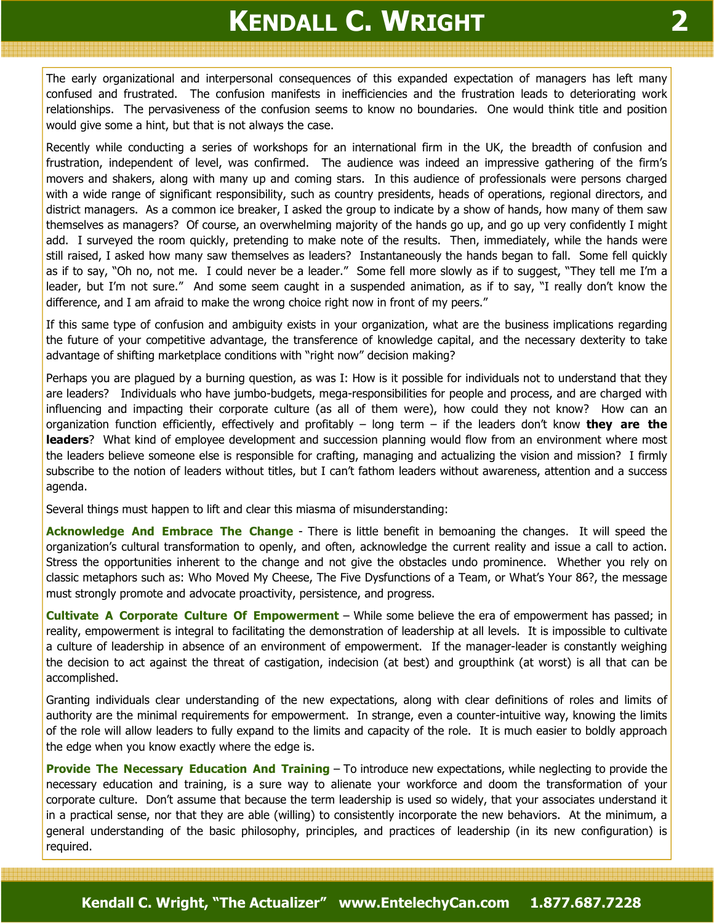## KENDALL C. WRIGHT

The early organizational and interpersonal consequences of this expanded expectation of managers has left many confused and frustrated. The confusion manifests in inefficiencies and the frustration leads to deteriorating work relationships. The pervasiveness of the confusion seems to know no boundaries. One would think title and position would give some a hint, but that is not always the case.

Recently while conducting a series of workshops for an international firm in the UK, the breadth of confusion and frustration, independent of level, was confirmed. The audience was indeed an impressive gathering of the firm's movers and shakers, along with many up and coming stars. In this audience of professionals were persons charged with a wide range of significant responsibility, such as country presidents, heads of operations, regional directors, and district managers. As a common ice breaker, I asked the group to indicate by a show of hands, how many of them saw themselves as managers? Of course, an overwhelming majority of the hands go up, and go up very confidently I might add. I surveyed the room quickly, pretending to make note of the results. Then, immediately, while the hands were still raised, I asked how many saw themselves as leaders? Instantaneously the hands began to fall. Some fell quickly as if to say, "Oh no, not me. I could never be a leader." Some fell more slowly as if to suggest, "They tell me I'm a leader, but I'm not sure." And some seem caught in a suspended animation, as if to say, "I really don't know the difference, and I am afraid to make the wrong choice right now in front of my peers."

If this same type of confusion and ambiguity exists in your organization, what are the business implications regarding the future of your competitive advantage, the transference of knowledge capital, and the necessary dexterity to take advantage of shifting marketplace conditions with "right now" decision making?

Perhaps you are plagued by a burning question, as was I: How is it possible for individuals not to understand that they are leaders? Individuals who have jumbo-budgets, mega-responsibilities for people and process, and are charged with influencing and impacting their corporate culture (as all of them were), how could they not know? How can an organization function efficiently, effectively and profitably  $-$  long term  $-$  if the leaders don't know they are the leaders? What kind of employee development and succession planning would flow from an environment where most the leaders believe someone else is responsible for crafting, managing and actualizing the vision and mission? I firmly subscribe to the notion of leaders without titles, but I can't fathom leaders without awareness, attention and a success agenda.

Several things must happen to lift and clear this miasma of misunderstanding:

Acknowledge And Embrace The Change - There is little benefit in bemoaning the changes. It will speed the organization's cultural transformation to openly, and often, acknowledge the current reality and issue a call to action. Stress the opportunities inherent to the change and not give the obstacles undo prominence. Whether you rely on classic metaphors such as: Who Moved My Cheese, The Five Dysfunctions of a Team, or What's Your 86?, the message must strongly promote and advocate proactivity, persistence, and progress.

Cultivate A Corporate Culture Of Empowerment – While some believe the era of empowerment has passed; in reality, empowerment is integral to facilitating the demonstration of leadership at all levels. It is impossible to cultivate a culture of leadership in absence of an environment of empowerment. If the manager-leader is constantly weighing the decision to act against the threat of castigation, indecision (at best) and groupthink (at worst) is all that can be accomplished.

Granting individuals clear understanding of the new expectations, along with clear definitions of roles and limits of authority are the minimal requirements for empowerment. In strange, even a counter-intuitive way, knowing the limits of the role will allow leaders to fully expand to the limits and capacity of the role. It is much easier to boldly approach the edge when you know exactly where the edge is.

Provide The Necessary Education And Training – To introduce new expectations, while neglecting to provide the necessary education and training, is a sure way to alienate your workforce and doom the transformation of your corporate culture. Don't assume that because the term leadership is used so widely, that your associates understand it in a practical sense, nor that they are able (willing) to consistently incorporate the new behaviors. At the minimum, a general understanding of the basic philosophy, principles, and practices of leadership (in its new configuration) is required.